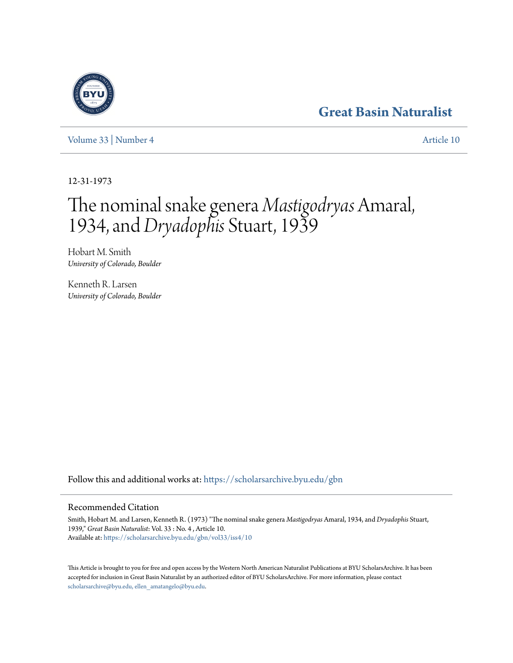# **[Great Basin Naturalist](https://scholarsarchive.byu.edu/gbn?utm_source=scholarsarchive.byu.edu%2Fgbn%2Fvol33%2Fiss4%2F10&utm_medium=PDF&utm_campaign=PDFCoverPages)**

[Volume 33](https://scholarsarchive.byu.edu/gbn/vol33?utm_source=scholarsarchive.byu.edu%2Fgbn%2Fvol33%2Fiss4%2F10&utm_medium=PDF&utm_campaign=PDFCoverPages) | [Number 4](https://scholarsarchive.byu.edu/gbn/vol33/iss4?utm_source=scholarsarchive.byu.edu%2Fgbn%2Fvol33%2Fiss4%2F10&utm_medium=PDF&utm_campaign=PDFCoverPages) [Article 10](https://scholarsarchive.byu.edu/gbn/vol33/iss4/10?utm_source=scholarsarchive.byu.edu%2Fgbn%2Fvol33%2Fiss4%2F10&utm_medium=PDF&utm_campaign=PDFCoverPages)

12-31-1973

# The nominal snake genera *Mastigodryas* Amaral, 1934, and *Dryadophis* Stuart, 1939

Hobart M. Smith *University of Colorado, Boulder*

Kenneth R. Larsen *University of Colorado, Boulder*

Follow this and additional works at: [https://scholarsarchive.byu.edu/gbn](https://scholarsarchive.byu.edu/gbn?utm_source=scholarsarchive.byu.edu%2Fgbn%2Fvol33%2Fiss4%2F10&utm_medium=PDF&utm_campaign=PDFCoverPages)

## Recommended Citation

Smith, Hobart M. and Larsen, Kenneth R. (1973) "The nominal snake genera *Mastigodryas* Amaral, 1934, and *Dryadophis* Stuart, 1939," *Great Basin Naturalist*: Vol. 33 : No. 4 , Article 10. Available at: [https://scholarsarchive.byu.edu/gbn/vol33/iss4/10](https://scholarsarchive.byu.edu/gbn/vol33/iss4/10?utm_source=scholarsarchive.byu.edu%2Fgbn%2Fvol33%2Fiss4%2F10&utm_medium=PDF&utm_campaign=PDFCoverPages)

This Article is brought to you for free and open access by the Western North American Naturalist Publications at BYU ScholarsArchive. It has been accepted for inclusion in Great Basin Naturalist by an authorized editor of BYU ScholarsArchive. For more information, please contact [scholarsarchive@byu.edu, ellen\\_amatangelo@byu.edu.](mailto:scholarsarchive@byu.edu,%20ellen_amatangelo@byu.edu)